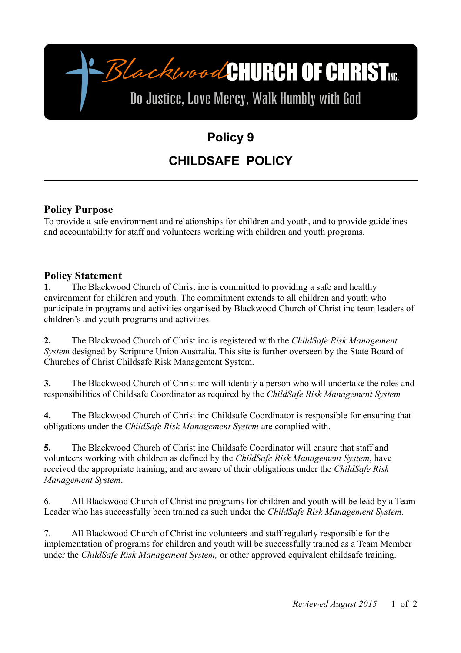

# **Policy 9 CHILDSAFE POLICY**

#### **Policy Purpose**

To provide a safe environment and relationships for children and youth, and to provide guidelines and accountability for staff and volunteers working with children and youth programs.

#### **Policy Statement**

**1.** The Blackwood Church of Christ inc is committed to providing a safe and healthy environment for children and youth. The commitment extends to all children and youth who participate in programs and activities organised by Blackwood Church of Christ inc team leaders of children's and youth programs and activities.

**2.** The Blackwood Church of Christ inc is registered with the *ChildSafe Risk Management System* designed by Scripture Union Australia. This site is further overseen by the State Board of Churches of Christ Childsafe Risk Management System.

**3.** The Blackwood Church of Christ inc will identify a person who will undertake the roles and responsibilities of Childsafe Coordinator as required by the *ChildSafe Risk Management System*

**4.** The Blackwood Church of Christ inc Childsafe Coordinator is responsible for ensuring that obligations under the *ChildSafe Risk Management System* are complied with.

**5.** The Blackwood Church of Christ inc Childsafe Coordinator will ensure that staff and volunteers working with children as defined by the *ChildSafe Risk Management System*, have received the appropriate training, and are aware of their obligations under the *ChildSafe Risk Management System*.

6. All Blackwood Church of Christ inc programs for children and youth will be lead by a Team Leader who has successfully been trained as such under the *ChildSafe Risk Management System.*

7. All Blackwood Church of Christ inc volunteers and staff regularly responsible for the implementation of programs for children and youth will be successfully trained as a Team Member under the *ChildSafe Risk Management System,* or other approved equivalent childsafe training.